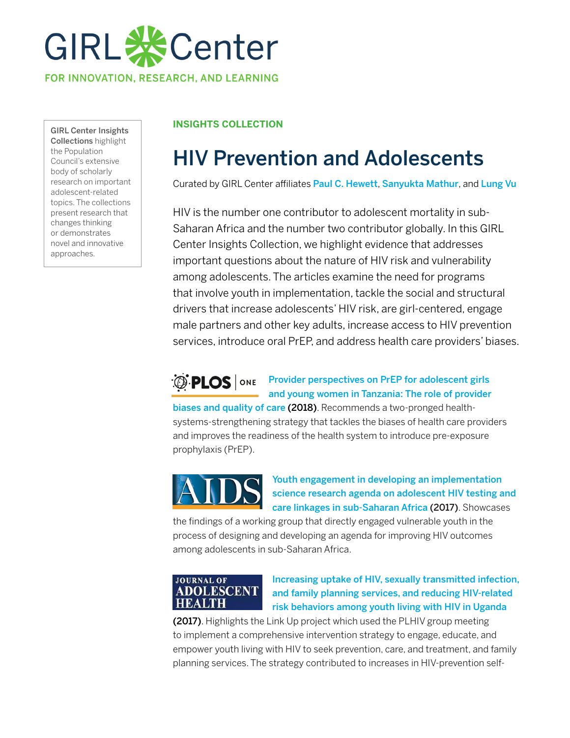

GIRL Center Insights Collections highlight the Population Council's extensive body of scholarly research on important adolescent-related topics. The collections present research that changes thinking or demonstrates novel and innovative approaches.

## **INSIGHTS COLLECTION**

# HIV Prevention and Adolescents

Curated by GIRL Center affiliates [Paul C. Hewett](http://www.popcouncil.org/research/expert/paul-hewett), [Sanyukta Mathur](http://www.popcouncil.org/research/expert/sanyukta-mathur), and [Lung Vu](http://www.popcouncil.org/research/expert/lung-vu)

HIV is the number one contributor to adolescent mortality in sub-Saharan Africa and the number two contributor globally. In this GIRL Center Insights Collection, we highlight evidence that addresses important questions about the nature of HIV risk and vulnerability among adolescents. The articles examine the need for programs that involve youth in implementation, tackle the social and structural drivers that increase adolescents' HIV risk, are girl-centered, engage male partners and other key adults, increase access to HIV prevention services, introduce oral PrEP, and address health care providers' biases.

#### [Provider perspectives on PrEP for adolescent girls](http://journals.plos.org/plosone/article?id=10.1371/journal.pone.0196280)  **D.PLOS** ONE [and young women in Tanzania: The role of provider](http://journals.plos.org/plosone/article?id=10.1371/journal.pone.0196280)

[biases and quality of care](http://journals.plos.org/plosone/article?id=10.1371/journal.pone.0196280) (2018). Recommends a two-pronged healthsystems-strengthening strategy that tackles the biases of health care providers and improves the readiness of the health system to introduce pre-exposure prophylaxis (PrEP).



[Youth engagement in developing an implementation](https://www.ncbi.nlm.nih.gov/pmc/articles/PMC5497774/)  [science research agenda on adolescent HIV testing and](https://www.ncbi.nlm.nih.gov/pmc/articles/PMC5497774/)  [care linkages in sub-Saharan Africa](https://www.ncbi.nlm.nih.gov/pmc/articles/PMC5497774/) (2017). Showcases

the findings of a working group that directly engaged vulnerable youth in the process of designing and developing an agenda for improving HIV outcomes among adolescents in sub-Saharan Africa.

### **JOURNAL OF ADOLESCENT** HEAMH

[Increasing uptake of HIV, sexually transmitted infection,](https://www.jahonline.org/article/S1054-139X(16)30351-2/abstract)  [and family planning services, and reducing HIV-related](https://www.jahonline.org/article/S1054-139X(16)30351-2/abstract)  [risk behaviors among youth living with HIV in Uganda](https://www.jahonline.org/article/S1054-139X(16)30351-2/abstract)

(2017). Highlights the Link Up project which used the PLHIV group meeting to implement a comprehensive intervention strategy to engage, educate, and empower youth living with HIV to seek prevention, care, and treatment, and family planning services. The strategy contributed to increases in HIV-prevention self